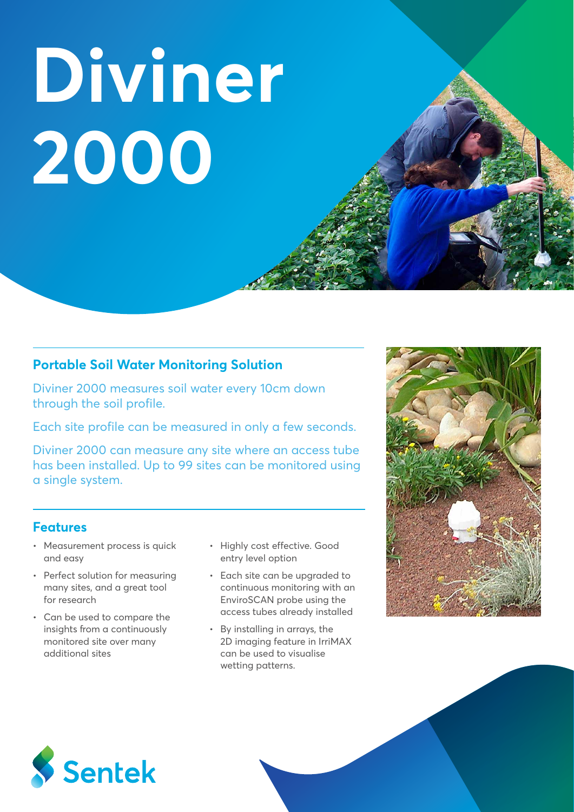**Diviner 2000**

## **Portable Soil Water Monitoring Solution**

Diviner 2000 measures soil water every 10cm down through the soil profile.

Each site profile can be measured in only a few seconds.

Diviner 2000 can measure any site where an access tube has been installed. Up to 99 sites can be monitored using a single system.

### **Features**

- Measurement process is quick and easy
- Perfect solution for measuring many sites, and a great tool for research
- Can be used to compare the insights from a continuously monitored site over many additional sites
- Highly cost effective. Good entry level option
- Each site can be upgraded to continuous monitoring with an EnviroSCAN probe using the access tubes already installed
- By installing in arrays, the 2D imaging feature in IrriMAX can be used to visualise wetting patterns.